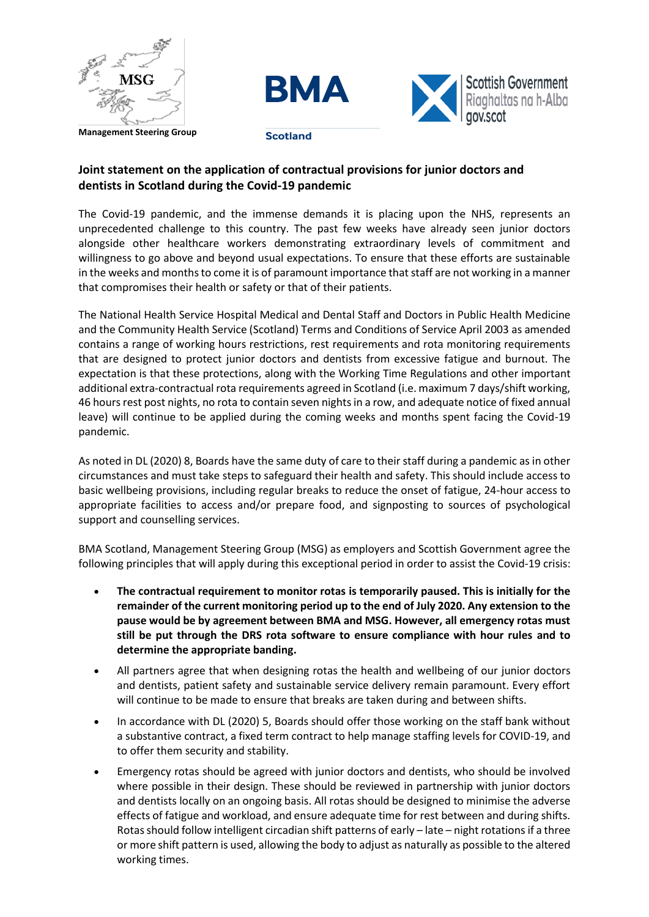





## **Joint statement on the application of contractual provisions for junior doctors and dentists in Scotland during the Covid-19 pandemic**

The Covid-19 pandemic, and the immense demands it is placing upon the NHS, represents an unprecedented challenge to this country. The past few weeks have already seen junior doctors alongside other healthcare workers demonstrating extraordinary levels of commitment and willingness to go above and beyond usual expectations. To ensure that these efforts are sustainable in the weeks and months to come it is of paramount importance that staff are not working in a manner that compromises their health or safety or that of their patients.

The National Health Service Hospital Medical and Dental Staff and Doctors in Public Health Medicine and the Community Health Service (Scotland) Terms and Conditions of Service April 2003 as amended contains a range of working hours restrictions, rest requirements and rota monitoring requirements that are designed to protect junior doctors and dentists from excessive fatigue and burnout. The expectation is that these protections, along with the Working Time Regulations and other important additional extra-contractual rota requirements agreed in Scotland (i.e. maximum 7 days/shift working, 46 hours rest post nights, no rota to contain seven nights in a row, and adequate notice of fixed annual leave) will continue to be applied during the coming weeks and months spent facing the Covid-19 pandemic.

As noted in DL (2020) 8, Boards have the same duty of care to their staff during a pandemic as in other circumstances and must take steps to safeguard their health and safety. This should include access to basic wellbeing provisions, including regular breaks to reduce the onset of fatigue, 24-hour access to appropriate facilities to access and/or prepare food, and signposting to sources of psychological support and counselling services.

BMA Scotland, Management Steering Group (MSG) as employers and Scottish Government agree the following principles that will apply during this exceptional period in order to assist the Covid-19 crisis:

- **The contractual requirement to monitor rotas is temporarily paused. This is initially for the remainder of the current monitoring period up to the end of July 2020. Any extension to the pause would be by agreement between BMA and MSG. However, all emergency rotas must still be put through the DRS rota software to ensure compliance with hour rules and to determine the appropriate banding.**
- All partners agree that when designing rotas the health and wellbeing of our junior doctors and dentists, patient safety and sustainable service delivery remain paramount. Every effort will continue to be made to ensure that breaks are taken during and between shifts.
- In accordance with DL (2020) 5, Boards should offer those working on the staff bank without a substantive contract, a fixed term contract to help manage staffing levels for COVID-19, and to offer them security and stability.
- Emergency rotas should be agreed with junior doctors and dentists, who should be involved where possible in their design. These should be reviewed in partnership with junior doctors and dentists locally on an ongoing basis. All rotas should be designed to minimise the adverse effects of fatigue and workload, and ensure adequate time for rest between and during shifts. Rotas should follow intelligent circadian shift patterns of early – late – night rotations if a three or more shift pattern is used, allowing the body to adjust as naturally as possible to the altered working times.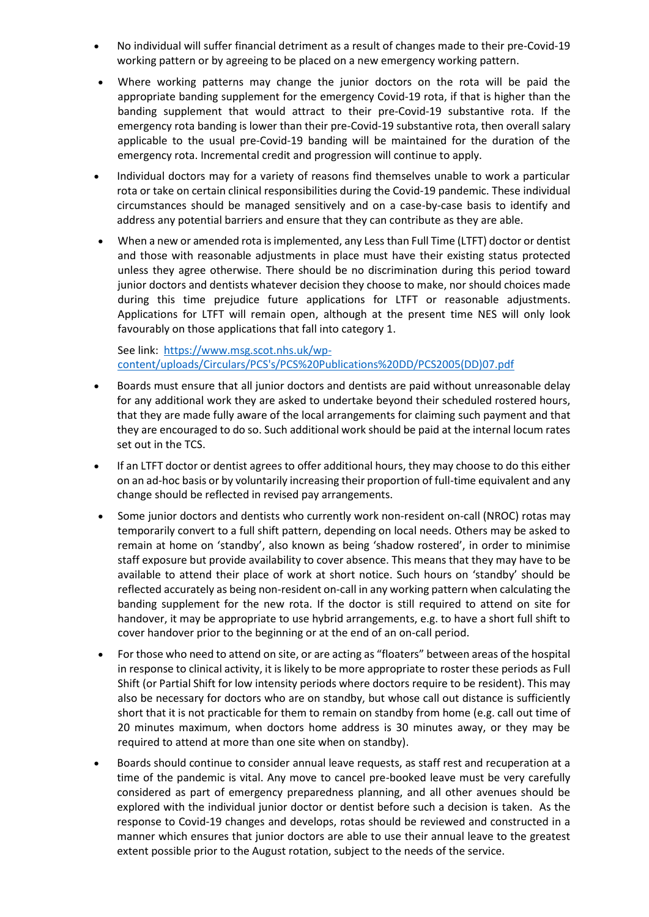- No individual will suffer financial detriment as a result of changes made to their pre-Covid-19 working pattern or by agreeing to be placed on a new emergency working pattern.
- Where working patterns may change the junior doctors on the rota will be paid the appropriate banding supplement for the emergency Covid-19 rota, if that is higher than the banding supplement that would attract to their pre-Covid-19 substantive rota. If the emergency rota banding is lower than their pre-Covid-19 substantive rota, then overall salary applicable to the usual pre-Covid-19 banding will be maintained for the duration of the emergency rota. Incremental credit and progression will continue to apply.
- Individual doctors may for a variety of reasons find themselves unable to work a particular rota or take on certain clinical responsibilities during the Covid-19 pandemic. These individual circumstances should be managed sensitively and on a case-by-case basis to identify and address any potential barriers and ensure that they can contribute as they are able.
- When a new or amended rota is implemented, any Less than Full Time (LTFT) doctor or dentist and those with reasonable adjustments in place must have their existing status protected unless they agree otherwise. There should be no discrimination during this period toward junior doctors and dentists whatever decision they choose to make, nor should choices made during this time prejudice future applications for LTFT or reasonable adjustments. Applications for LTFT will remain open, although at the present time NES will only look favourably on those applications that fall into category 1.

See link: [https://www.msg.scot.nhs.uk/wp](https://www.msg.scot.nhs.uk/wp-content/uploads/Circulars/PCS)[content/uploads/Circulars/PCS's/PCS%20Publications%20DD/PCS2005\(DD\)07.pdf](https://www.msg.scot.nhs.uk/wp-content/uploads/Circulars/PCS)

- Boards must ensure that all junior doctors and dentists are paid without unreasonable delay for any additional work they are asked to undertake beyond their scheduled rostered hours, that they are made fully aware of the local arrangements for claiming such payment and that they are encouraged to do so. Such additional work should be paid at the internal locum rates set out in the TCS.
- If an LTFT doctor or dentist agrees to offer additional hours, they may choose to do this either on an ad-hoc basis or by voluntarily increasing their proportion of full-time equivalent and any change should be reflected in revised pay arrangements.
- Some junior doctors and dentists who currently work non-resident on-call (NROC) rotas may temporarily convert to a full shift pattern, depending on local needs. Others may be asked to remain at home on 'standby', also known as being 'shadow rostered', in order to minimise staff exposure but provide availability to cover absence. This means that they may have to be available to attend their place of work at short notice. Such hours on 'standby' should be reflected accurately as being non-resident on-call in any working pattern when calculating the banding supplement for the new rota. If the doctor is still required to attend on site for handover, it may be appropriate to use hybrid arrangements, e.g. to have a short full shift to cover handover prior to the beginning or at the end of an on-call period.
- For those who need to attend on site, or are acting as "floaters" between areas of the hospital in response to clinical activity, it is likely to be more appropriate to roster these periods as Full Shift (or Partial Shift for low intensity periods where doctors require to be resident). This may also be necessary for doctors who are on standby, but whose call out distance is sufficiently short that it is not practicable for them to remain on standby from home (e.g. call out time of 20 minutes maximum, when doctors home address is 30 minutes away, or they may be required to attend at more than one site when on standby).
- Boards should continue to consider annual leave requests, as staff rest and recuperation at a time of the pandemic is vital. Any move to cancel pre-booked leave must be very carefully considered as part of emergency preparedness planning, and all other avenues should be explored with the individual junior doctor or dentist before such a decision is taken. As the response to Covid-19 changes and develops, rotas should be reviewed and constructed in a manner which ensures that junior doctors are able to use their annual leave to the greatest extent possible prior to the August rotation, subject to the needs of the service.